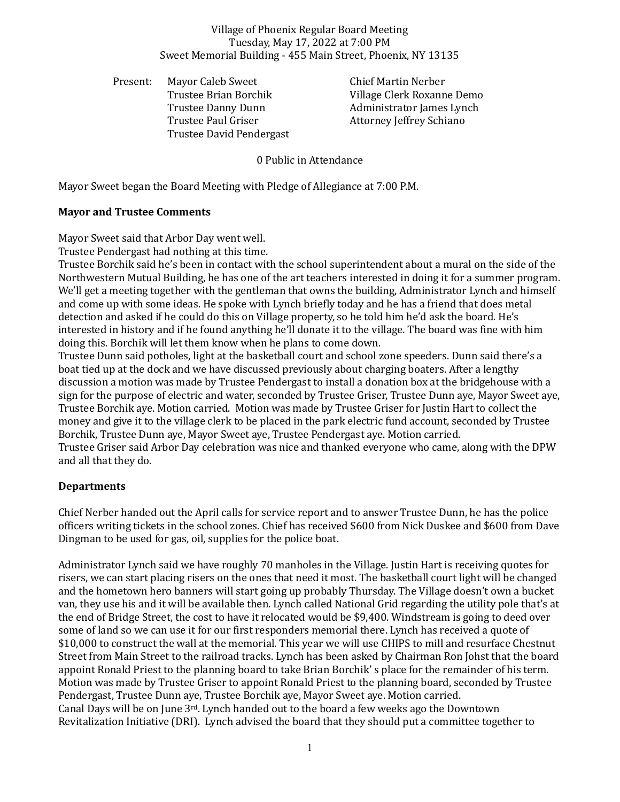#### Village of Phoenix Regular Board Meeting Tuesday, May 17, 2022 at 7:00 PM Sweet Memorial Building - 455 Main Street, Phoenix, NY 13135

Present: Mayor Caleb Sweet Chief Martin Nerber Trustee Paul Griser **Attorney Jeffrey Schiano** Trustee David Pendergast

Trustee Brian Borchik Village Clerk Roxanne Demo Trustee Danny Dunn Administrator James Lynch

0 Public in Attendance

Mayor Sweet began the Board Meeting with Pledge of Allegiance at 7:00 P.M.

## **Mayor and Trustee Comments**

Mayor Sweet said that Arbor Day went well.

Trustee Pendergast had nothing at this time.

Trustee Borchik said he's been in contact with the school superintendent about a mural on the side of the Northwestern Mutual Building, he has one of the art teachers interested in doing it for a summer program. We'll get a meeting together with the gentleman that owns the building, Administrator Lynch and himself and come up with some ideas. He spoke with Lynch briefly today and he has a friend that does metal detection and asked if he could do this on Village property, so he told him he'd ask the board. He's interested in history and if he found anything he'll donate it to the village. The board was fine with him doing this. Borchik will let them know when he plans to come down.

Trustee Dunn said potholes, light at the basketball court and school zone speeders. Dunn said there's a boat tied up at the dock and we have discussed previously about charging boaters. After a lengthy discussion a motion was made by Trustee Pendergast to install a donation box at the bridgehouse with a sign for the purpose of electric and water, seconded by Trustee Griser, Trustee Dunn aye, Mayor Sweet aye, Trustee Borchik aye. Motion carried. Motion was made by Trustee Griser for Justin Hart to collect the money and give it to the village clerk to be placed in the park electric fund account, seconded by Trustee Borchik, Trustee Dunn aye, Mayor Sweet aye, Trustee Pendergast aye. Motion carried. Trustee Griser said Arbor Day celebration was nice and thanked everyone who came, along with the DPW and all that they do.

# **Departments**

Chief Nerber handed out the April calls for service report and to answer Trustee Dunn, he has the police officers writing tickets in the school zones. Chief has received \$600 from Nick Duskee and \$600 from Dave Dingman to be used for gas, oil, supplies for the police boat.

Administrator Lynch said we have roughly 70 manholes in the Village. Justin Hart is receiving quotes for risers, we can start placing risers on the ones that need it most. The basketball court light will be changed and the hometown hero banners will start going up probably Thursday. The Village doesn't own a bucket van, they use his and it will be available then. Lynch called National Grid regarding the utility pole that's at the end of Bridge Street, the cost to have it relocated would be \$9,400. Windstream is going to deed over some of land so we can use it for our first responders memorial there. Lynch has received a quote of \$10,000 to construct the wall at the memorial. This year we will use CHIPS to mill and resurface Chestnut Street from Main Street to the railroad tracks. Lynch has been asked by Chairman Ron Johst that the board appoint Ronald Priest to the planning board to take Brian Borchik' s place for the remainder of his term. Motion was made by Trustee Griser to appoint Ronald Priest to the planning board, seconded by Trustee Pendergast, Trustee Dunn aye, Trustee Borchik aye, Mayor Sweet aye. Motion carried. Canal Days will be on June  $3^{rd}$ . Lynch handed out to the board a few weeks ago the Downtown Revitalization Initiative (DRI). Lynch advised the board that they should put a committee together to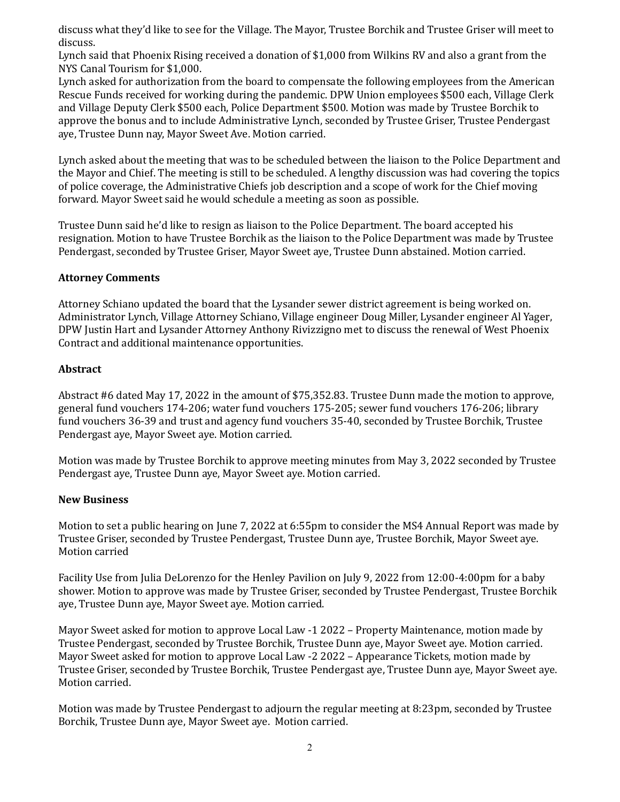discuss what they'd like to see for the Village. The Mayor, Trustee Borchik and Trustee Griser will meet to discuss.

Lynch said that Phoenix Rising received a donation of \$1,000 from Wilkins RV and also a grant from the NYS Canal Tourism for \$1,000.

Lynch asked for authorization from the board to compensate the following employees from the American Rescue Funds received for working during the pandemic. DPW Union employees \$500 each, Village Clerk and Village Deputy Clerk \$500 each, Police Department \$500. Motion was made by Trustee Borchik to approve the bonus and to include Administrative Lynch, seconded by Trustee Griser, Trustee Pendergast aye, Trustee Dunn nay, Mayor Sweet Ave. Motion carried.

Lynch asked about the meeting that was to be scheduled between the liaison to the Police Department and the Mayor and Chief. The meeting is still to be scheduled. A lengthy discussion was had covering the topics of police coverage, the Administrative Chiefs job description and a scope of work for the Chief moving forward. Mayor Sweet said he would schedule a meeting as soon as possible.

Trustee Dunn said he'd like to resign as liaison to the Police Department. The board accepted his resignation. Motion to have Trustee Borchik as the liaison to the Police Department was made by Trustee Pendergast, seconded by Trustee Griser, Mayor Sweet aye, Trustee Dunn abstained. Motion carried.

## **Attorney Comments**

Attorney Schiano updated the board that the Lysander sewer district agreement is being worked on. Administrator Lynch, Village Attorney Schiano, Village engineer Doug Miller, Lysander engineer Al Yager, DPW Justin Hart and Lysander Attorney Anthony Rivizzigno met to discuss the renewal of West Phoenix Contract and additional maintenance opportunities.

## **Abstract**

Abstract #6 dated May 17, 2022 in the amount of \$75,352.83. Trustee Dunn made the motion to approve, general fund vouchers 174-206; water fund vouchers 175-205; sewer fund vouchers 176-206; library fund vouchers 36-39 and trust and agency fund vouchers 35-40, seconded by Trustee Borchik, Trustee Pendergast aye, Mayor Sweet aye. Motion carried.

Motion was made by Trustee Borchik to approve meeting minutes from May 3, 2022 seconded by Trustee Pendergast aye, Trustee Dunn aye, Mayor Sweet aye. Motion carried.

#### **New Business**

Motion to set a public hearing on June 7, 2022 at 6:55pm to consider the MS4 Annual Report was made by Trustee Griser, seconded by Trustee Pendergast, Trustee Dunn aye, Trustee Borchik, Mayor Sweet aye. Motion carried

Facility Use from Julia DeLorenzo for the Henley Pavilion on July 9, 2022 from 12:00-4:00pm for a baby shower. Motion to approve was made by Trustee Griser, seconded by Trustee Pendergast, Trustee Borchik aye, Trustee Dunn aye, Mayor Sweet aye. Motion carried.

Mayor Sweet asked for motion to approve Local Law -1 2022 – Property Maintenance, motion made by Trustee Pendergast, seconded by Trustee Borchik, Trustee Dunn aye, Mayor Sweet aye. Motion carried. Mayor Sweet asked for motion to approve Local Law -2 2022 – Appearance Tickets, motion made by Trustee Griser, seconded by Trustee Borchik, Trustee Pendergast aye, Trustee Dunn aye, Mayor Sweet aye. Motion carried.

Motion was made by Trustee Pendergast to adjourn the regular meeting at 8:23pm, seconded by Trustee Borchik, Trustee Dunn aye, Mayor Sweet aye. Motion carried.